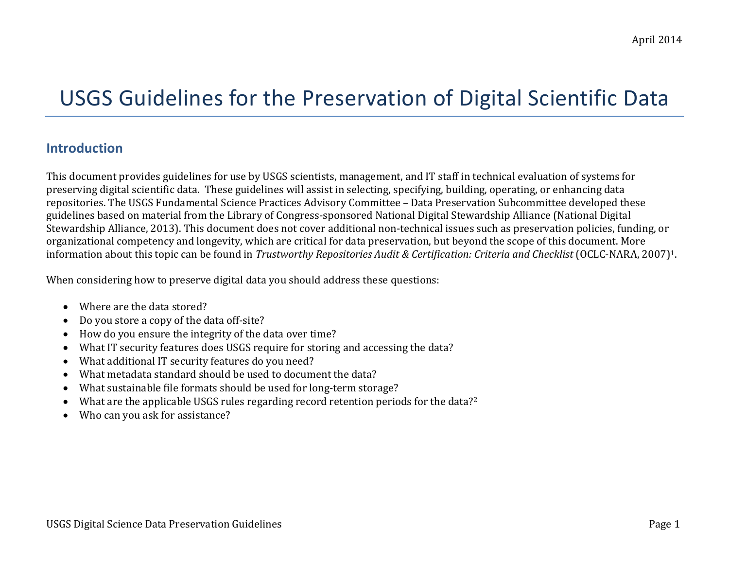# USGS Guidelines for the Preservation of Digital Scientific Data

#### **Introduction**

This document provides guidelines for use by USGS scientists, management, and IT staff in technical evaluation of systems for preserving digital scientific data. These guidelines will assist in selecting, specifying, building, operating, or enhancing data repositories. The USGS Fundamental Science Practices Advisory Committee – Data Preservation Subcommittee developed these guidelines based on material from the Library of Congress-sponsored National Digital Stewardship Alliance (National Digital Stewardship Alliance, 2013). This document does not cover additional non-technical issues such as preservation policies, funding, or organizational competency and longevity, which are critical for data preservation, but beyond the scope of this document. More information about this topic can be found in *Trustworthy Repositories Audit & Certification: Criteria and Checklist* (OCLC-NARA, 2007)1.

When considering how to preserve digital data you should address these questions:

- Where are the data stored?
- Do you store a copy of the data off-site?
- How do you ensure the integrity of the data over time?
- What IT security features does USGS require for storing and accessing the data?
- What additional IT security features do you need?
- What metadata standard should be used to document the data?
- What sustainable file formats should be used for long-term storage?
- What are the applicable USGS rules regarding record retention periods for the data?<sup>2</sup>
- Who can you ask for assistance?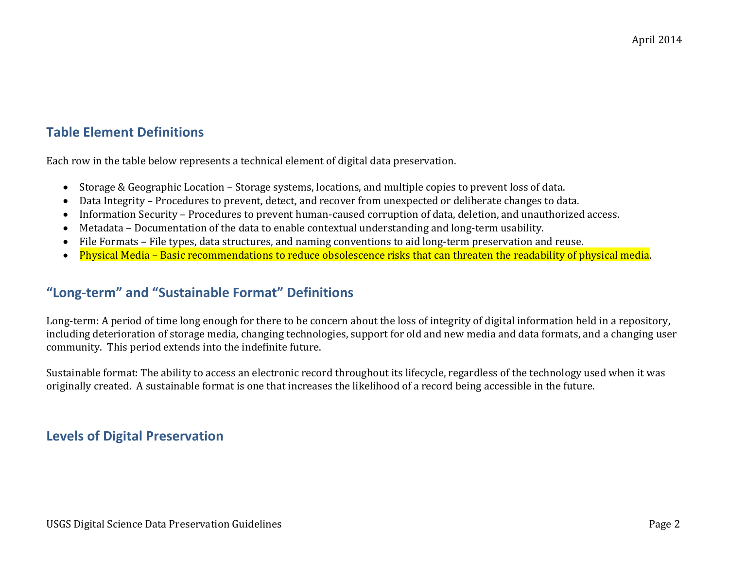# **Table Element Definitions**

Each row in the table below represents a technical element of digital data preservation.

- Storage & Geographic Location Storage systems, locations, and multiple copies to prevent loss of data.
- Data Integrity Procedures to prevent, detect, and recover from unexpected or deliberate changes to data.
- Information Security Procedures to prevent human-caused corruption of data, deletion, and unauthorized access.
- Metadata Documentation of the data to enable contextual understanding and long-term usability.
- File Formats File types, data structures, and naming conventions to aid long-term preservation and reuse.
- Physical Media Basic recommendations to reduce obsolescence risks that can threaten the readability of physical media.

# **"Long-term" and "Sustainable Format" Definitions**

Long-term: A period of time long enough for there to be concern about the loss of integrity of digital information held in a repository, including deterioration of storage media, changing technologies, support for old and new media and data formats, and a changing user community. This period extends into the indefinite future.

Sustainable format: The ability to access an electronic record throughout its lifecycle, regardless of the technology used when it was originally created. A sustainable format is one that increases the likelihood of a record being accessible in the future.

#### **Levels of Digital Preservation**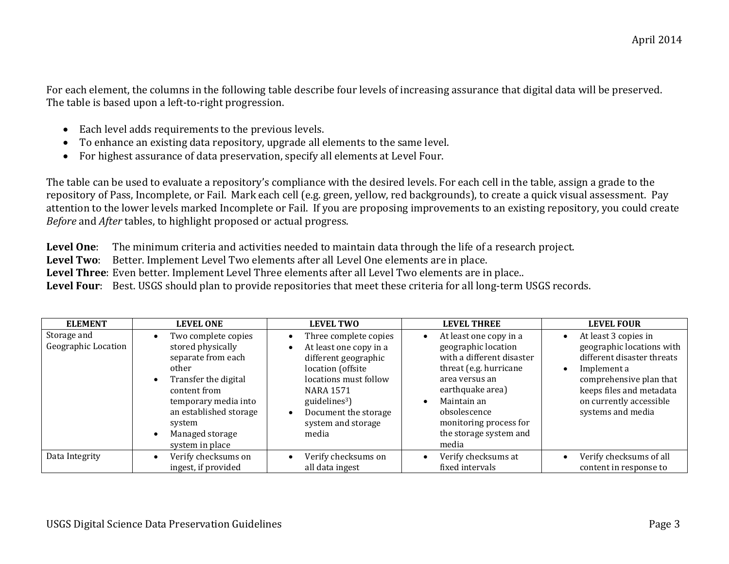For each element, the columns in the following table describe four levels of increasing assurance that digital data will be preserved. The table is based upon a left-to-right progression.

- Each level adds requirements to the previous levels.
- To enhance an existing data repository, upgrade all elements to the same level.
- For highest assurance of data preservation, specify all elements at Level Four.

The table can be used to evaluate a repository's compliance with the desired levels. For each cell in the table, assign a grade to the repository of Pass, Incomplete, or Fail. Mark each cell (e.g. green, yellow, red backgrounds), to create a quick visual assessment. Pay attention to the lower levels marked Incomplete or Fail. If you are proposing improvements to an existing repository, you could create *Before* and *After* tables, to highlight proposed or actual progress.

**Level One**: The minimum criteria and activities needed to maintain data through the life of a research project.

**Level Two**: Better. Implement Level Two elements after all Level One elements are in place.

**Level Three**: Even better. Implement Level Three elements after all Level Two elements are in place..

**Level Four**: Best. USGS should plan to provide repositories that meet these criteria for all long-term USGS records.

| <b>ELEMENT</b>                     | <b>LEVEL ONE</b>                                                                                                                                                                                                  | <b>LEVEL TWO</b>                                                                                                                                                                                                              | <b>LEVEL THREE</b>                                                                                                                                                                                                                                  | <b>LEVEL FOUR</b>                                                                                                                                                                                                               |
|------------------------------------|-------------------------------------------------------------------------------------------------------------------------------------------------------------------------------------------------------------------|-------------------------------------------------------------------------------------------------------------------------------------------------------------------------------------------------------------------------------|-----------------------------------------------------------------------------------------------------------------------------------------------------------------------------------------------------------------------------------------------------|---------------------------------------------------------------------------------------------------------------------------------------------------------------------------------------------------------------------------------|
| Storage and<br>Geographic Location | Two complete copies<br>stored physically<br>separate from each<br>other<br>Transfer the digital<br>content from<br>temporary media into<br>an established storage<br>system<br>Managed storage<br>system in place | Three complete copies<br>At least one copy in a<br>different geographic<br>location (offsite<br>locations must follow<br><b>NARA 1571</b><br>guidelines <sup>3</sup> )<br>Document the storage<br>system and storage<br>media | At least one copy in a<br>$\bullet$<br>geographic location<br>with a different disaster<br>threat (e.g. hurricane<br>area versus an<br>earthquake area)<br>Maintain an<br>obsolescence<br>monitoring process for<br>the storage system and<br>media | At least 3 copies in<br>$\bullet$<br>geographic locations with<br>different disaster threats<br>Implement a<br>$\bullet$<br>comprehensive plan that<br>keeps files and metadata<br>on currently accessible<br>systems and media |
| Data Integrity                     | Verify checksums on<br>ingest, if provided                                                                                                                                                                        | Verify checksums on<br>all data ingest                                                                                                                                                                                        | Verify checksums at<br>fixed intervals                                                                                                                                                                                                              | Verify checksums of all<br>content in response to                                                                                                                                                                               |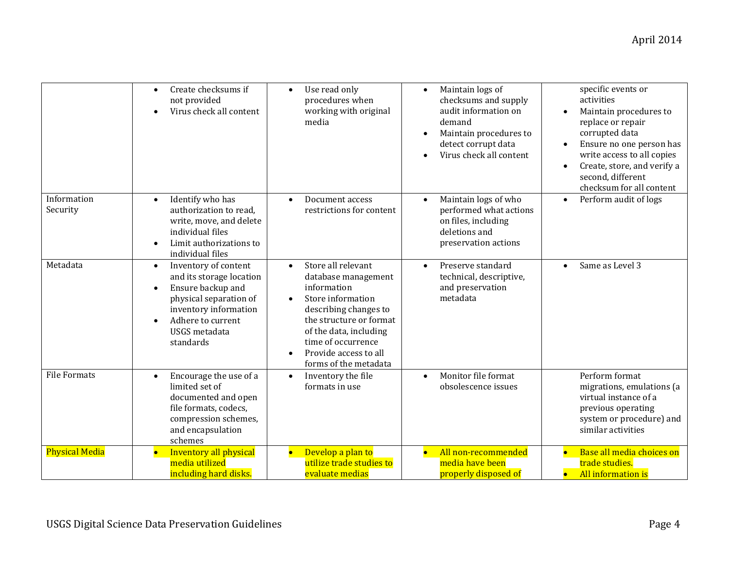|                         | Create checksums if<br>$\bullet$<br>not provided<br>Virus check all content                                                                                                                     | Use read only<br>procedures when<br>working with original<br>media                                                                                                                                                                                            | Maintain logs of<br>$\bullet$<br>checksums and supply<br>audit information on<br>demand<br>Maintain procedures to<br>detect corrupt data<br>Virus check all content | specific events or<br>activities<br>Maintain procedures to<br>replace or repair<br>corrupted data<br>Ensure no one person has<br>$\bullet$<br>write access to all copies<br>Create, store, and verify a<br>$\bullet$<br>second, different<br>checksum for all content |
|-------------------------|-------------------------------------------------------------------------------------------------------------------------------------------------------------------------------------------------|---------------------------------------------------------------------------------------------------------------------------------------------------------------------------------------------------------------------------------------------------------------|---------------------------------------------------------------------------------------------------------------------------------------------------------------------|-----------------------------------------------------------------------------------------------------------------------------------------------------------------------------------------------------------------------------------------------------------------------|
| Information<br>Security | Identify who has<br>$\bullet$<br>authorization to read.<br>write, move, and delete<br>individual files<br>Limit authorizations to<br>individual files                                           | Document access<br>$\bullet$<br>restrictions for content                                                                                                                                                                                                      | Maintain logs of who<br>$\bullet$<br>performed what actions<br>on files, including<br>deletions and<br>preservation actions                                         | Perform audit of logs<br>$\bullet$                                                                                                                                                                                                                                    |
| Metadata                | Inventory of content<br>$\bullet$<br>and its storage location<br>Ensure backup and<br>physical separation of<br>inventory information<br>Adhere to current<br><b>USGS</b> metadata<br>standards | Store all relevant<br>$\bullet$<br>database management<br>information<br>Store information<br>$\bullet$<br>describing changes to<br>the structure or format<br>of the data, including<br>time of occurrence<br>Provide access to all<br>forms of the metadata | Preserve standard<br>$\bullet$<br>technical, descriptive,<br>and preservation<br>metadata                                                                           | Same as Level 3<br>$\bullet$                                                                                                                                                                                                                                          |
| <b>File Formats</b>     | Encourage the use of a<br>$\bullet$<br>limited set of<br>documented and open<br>file formats, codecs,<br>compression schemes,<br>and encapsulation<br>schemes                                   | Inventory the file<br>$\bullet$<br>formats in use                                                                                                                                                                                                             | Monitor file format<br>$\bullet$<br>obsolescence issues                                                                                                             | Perform format<br>migrations, emulations (a<br>virtual instance of a<br>previous operating<br>system or procedure) and<br>similar activities                                                                                                                          |
| <b>Physical Media</b>   | Inventory all physical<br>media utilized<br>including hard disks.                                                                                                                               | Develop a plan to<br>utilize trade studies to<br>evaluate medias                                                                                                                                                                                              | All non-recommended<br>$\bullet$<br>media have been<br>properly disposed of                                                                                         | Base all media choices on<br>trade studies.<br>All information is<br>$\bullet$                                                                                                                                                                                        |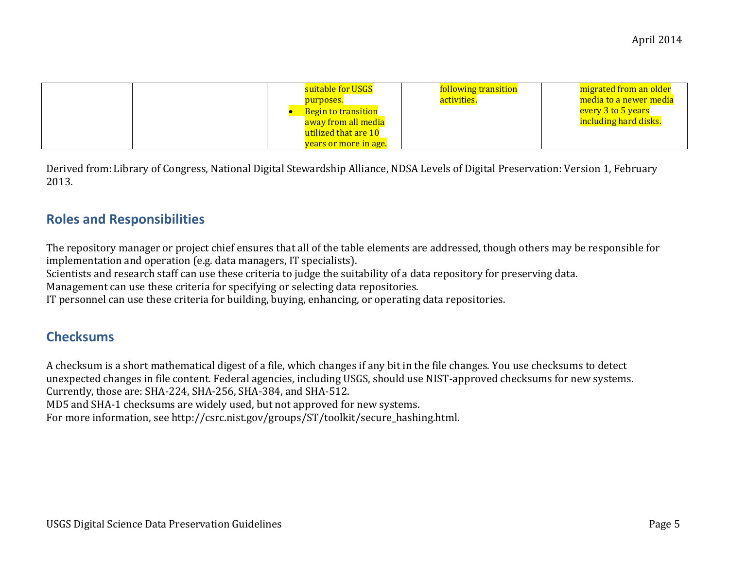| suitable for USGS<br>purposes.<br><b>Begin to transition</b><br>away from all media<br>utilized that are 10 | following transition<br>activities. | migrated from an older<br>media to a newer media<br>every 3 to 5 years<br>including hard disks. |
|-------------------------------------------------------------------------------------------------------------|-------------------------------------|-------------------------------------------------------------------------------------------------|
| <u>years or more in age.</u>                                                                                |                                     |                                                                                                 |

Derived from: Library of Congress, National Digital Stewardship Alliance, NDSA Levels of Digital Preservation: Version 1, February 2013.

#### **Roles and Responsibilities**

The repository manager or project chief ensures that all of the table elements are addressed, though others may be responsible for implementation and operation (e.g. data managers, IT specialists).

Scientists and research staff can use these criteria to judge the suitability of a data repository for preserving data.

Management can use these criteria for specifying or selecting data repositories.

IT personnel can use these criteria for building, buying, enhancing, or operating data repositories.

#### **Checksums**

A checksum is a short mathematical digest of a file, which changes if any bit in the file changes. You use checksums to detect unexpected changes in file content. Federal agencies, including USGS, should use NIST-approved checksums for new systems. Currently, those are: SHA-224, SHA-256, SHA-384, and SHA-512.

MD5 and SHA-1 checksums are widely used, but not approved for new systems.

For more information, see http://csrc.nist.gov/groups/ST/toolkit/secure\_hashing.html.